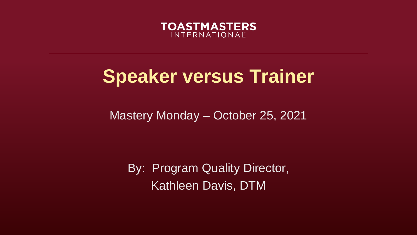

## **Speaker versus Trainer**

Mastery Monday – October 25, 2021

By: Program Quality Director, Kathleen Davis, DTM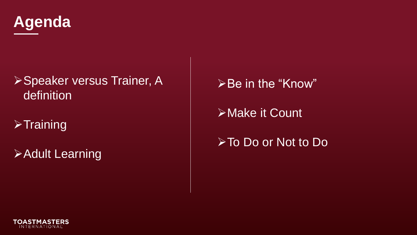

#### **≻Speaker versus Trainer, A** definition

### $\triangleright$ Training

Adult Learning

≻Be in the "Know"

**≻Make it Count** 

To Do or Not to Do

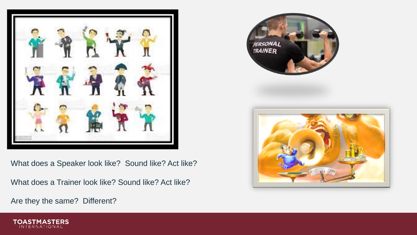

What does a Speaker look like? Sound like? Act like?

What does a Trainer look like? Sound like? Act like?

Are they the same? Different?





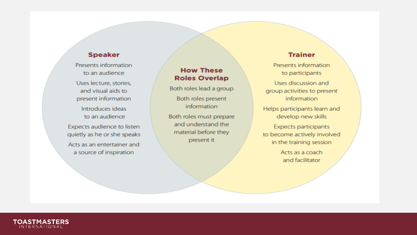#### **Speaker**

Presents information to an audience Uses lecture, stories, and visual aids to present information Introduces ideas to an audience Expects audience to listen quietly as he or she speaks Acts as an entertainer and a source of inspiration

#### **How These Roles Overlap**

Both roles lead a group Both roles present information

Both roles must prepare and understand the material before they present it

#### **Trainer**

Presents information to participants

Uses discussion and group activities to present information

Helps participants learn and develop new skills

**Expects participants** to become actively involved in the training session

> Acts as a coach and facilitator

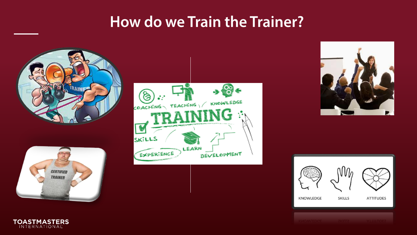### **How do we Train the Trainer?**













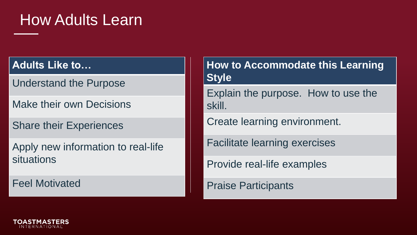### How Adults Learn

#### **Adults Like to…**

Understand the Purpose

Make their own Decisions

Share their Experiences

Apply new information to real-life situations

Feel Motivated

**How to Accommodate this Learning Style**

Explain the purpose. How to use the skill.

Create learning environment.

Facilitate learning exercises

Provide real-life examples

Praise Participants

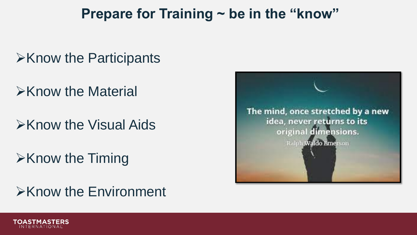### **Prepare for Training ~ be in the "know"**

### $\triangleright$ Know the Participants

- $\triangleright$ Know the Material
- $\triangleright$ Know the Visual Aids
- $\triangleright$ Know the Timing

### $\triangleright$ Know the Environment



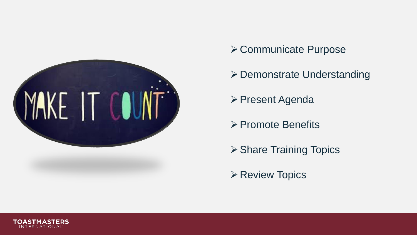

- **≻ Communicate Purpose**
- Demonstrate Understanding
- **≻ Present Agenda**
- **► Promote Benefits**
- **≻ Share Training Topics**
- **≻ Review Topics**

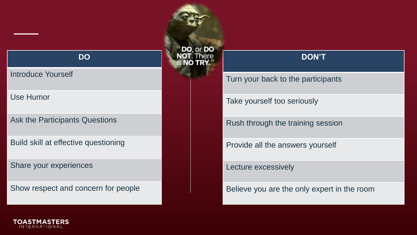#### **DO**

#### Introduce Yourself

Use Humor

Ask the Participants Questions

Build skill at effective questioning

Share your experiences

Show respect and concern for people

DO, or DO

#### **DON'T**

Turn your back to the participants

Take yourself too seriously

Rush through the training session

Provide all the answers yourself

Lecture excessively

Believe you are the only expert in the room

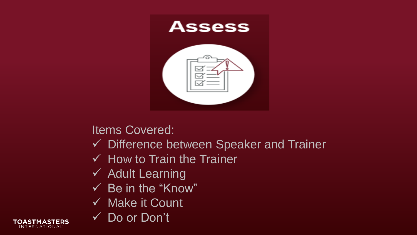

#### Items Covered:

- Difference between Speaker and Trainer
- $\checkmark$  How to Train the Trainer
- $\checkmark$  Adult Learning
- $\checkmark$  Be in the "Know"
- $\checkmark$  Make it Count
- Do or Don't

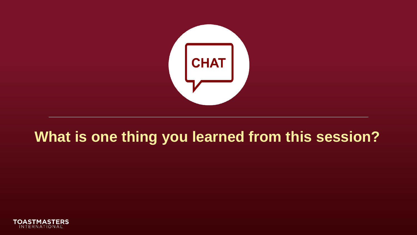

## **What is one thing you learned from this session?**

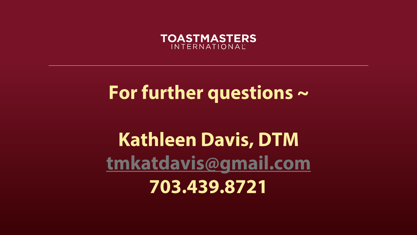

# For further questions  $\sim$

# **Kathleen Davis, DTM** tmkatdavis@gmail.com 703.439.8721